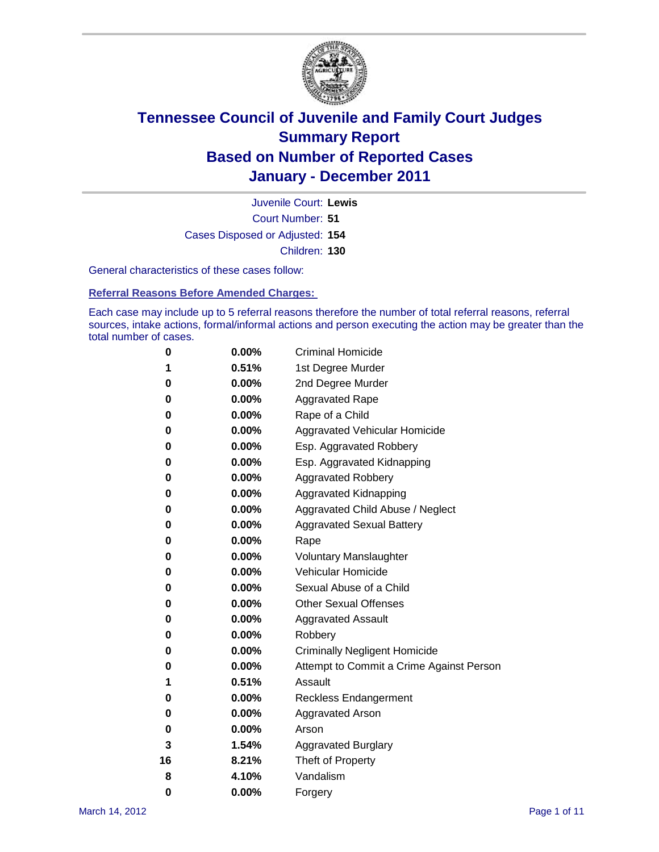

Court Number: **51** Juvenile Court: **Lewis** Cases Disposed or Adjusted: **154** Children: **130**

General characteristics of these cases follow:

**Referral Reasons Before Amended Charges:** 

Each case may include up to 5 referral reasons therefore the number of total referral reasons, referral sources, intake actions, formal/informal actions and person executing the action may be greater than the total number of cases.

| 0  | 0.00%    | <b>Criminal Homicide</b>                 |
|----|----------|------------------------------------------|
| 1  | 0.51%    | 1st Degree Murder                        |
| 0  | 0.00%    | 2nd Degree Murder                        |
| 0  | 0.00%    | <b>Aggravated Rape</b>                   |
| 0  | 0.00%    | Rape of a Child                          |
| 0  | 0.00%    | Aggravated Vehicular Homicide            |
| 0  | 0.00%    | Esp. Aggravated Robbery                  |
| 0  | 0.00%    | Esp. Aggravated Kidnapping               |
| 0  | 0.00%    | <b>Aggravated Robbery</b>                |
| 0  | 0.00%    | Aggravated Kidnapping                    |
| 0  | 0.00%    | Aggravated Child Abuse / Neglect         |
| 0  | 0.00%    | <b>Aggravated Sexual Battery</b>         |
| 0  | 0.00%    | Rape                                     |
| 0  | $0.00\%$ | <b>Voluntary Manslaughter</b>            |
| 0  | 0.00%    | Vehicular Homicide                       |
| 0  | 0.00%    | Sexual Abuse of a Child                  |
| 0  | 0.00%    | <b>Other Sexual Offenses</b>             |
| 0  | 0.00%    | <b>Aggravated Assault</b>                |
| 0  | $0.00\%$ | Robbery                                  |
| 0  | 0.00%    | <b>Criminally Negligent Homicide</b>     |
| 0  | 0.00%    | Attempt to Commit a Crime Against Person |
| 1  | 0.51%    | Assault                                  |
| 0  | 0.00%    | <b>Reckless Endangerment</b>             |
| 0  | 0.00%    | <b>Aggravated Arson</b>                  |
| 0  | 0.00%    | Arson                                    |
| 3  | 1.54%    | <b>Aggravated Burglary</b>               |
| 16 | 8.21%    | Theft of Property                        |
| 8  | 4.10%    | Vandalism                                |
| 0  | 0.00%    | Forgery                                  |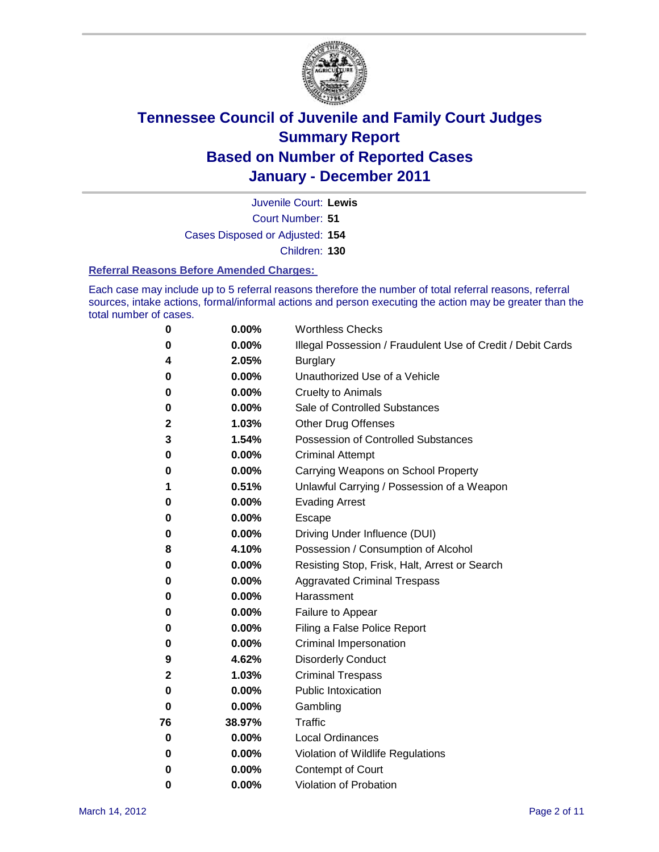

Juvenile Court: **Lewis**

Court Number: **51**

Cases Disposed or Adjusted: **154**

Children: **130**

#### **Referral Reasons Before Amended Charges:**

Each case may include up to 5 referral reasons therefore the number of total referral reasons, referral sources, intake actions, formal/informal actions and person executing the action may be greater than the total number of cases.

| 0        | 0.00%    | <b>Worthless Checks</b>                                     |
|----------|----------|-------------------------------------------------------------|
| 0        | 0.00%    | Illegal Possession / Fraudulent Use of Credit / Debit Cards |
| 4        | 2.05%    | <b>Burglary</b>                                             |
| 0        | 0.00%    | Unauthorized Use of a Vehicle                               |
| 0        | 0.00%    | <b>Cruelty to Animals</b>                                   |
| 0        | 0.00%    | Sale of Controlled Substances                               |
| 2        | 1.03%    | <b>Other Drug Offenses</b>                                  |
| 3        | 1.54%    | <b>Possession of Controlled Substances</b>                  |
| 0        | 0.00%    | <b>Criminal Attempt</b>                                     |
| 0        | 0.00%    | Carrying Weapons on School Property                         |
| 1        | 0.51%    | Unlawful Carrying / Possession of a Weapon                  |
| 0        | 0.00%    | <b>Evading Arrest</b>                                       |
| 0        | 0.00%    | Escape                                                      |
| 0        | 0.00%    | Driving Under Influence (DUI)                               |
| 8        | 4.10%    | Possession / Consumption of Alcohol                         |
| 0        | 0.00%    | Resisting Stop, Frisk, Halt, Arrest or Search               |
| 0        | 0.00%    | <b>Aggravated Criminal Trespass</b>                         |
| 0        | 0.00%    | Harassment                                                  |
| 0        | 0.00%    | Failure to Appear                                           |
| 0        | 0.00%    | Filing a False Police Report                                |
| 0        | 0.00%    | Criminal Impersonation                                      |
| 9        | 4.62%    | <b>Disorderly Conduct</b>                                   |
| 2        | 1.03%    | <b>Criminal Trespass</b>                                    |
| 0        | 0.00%    | <b>Public Intoxication</b>                                  |
| 0        | 0.00%    | Gambling                                                    |
| 76       | 38.97%   | <b>Traffic</b>                                              |
| 0        | 0.00%    | <b>Local Ordinances</b>                                     |
| $\bf{0}$ | 0.00%    | Violation of Wildlife Regulations                           |
| 0        | $0.00\%$ | Contempt of Court                                           |
| 0        | 0.00%    | Violation of Probation                                      |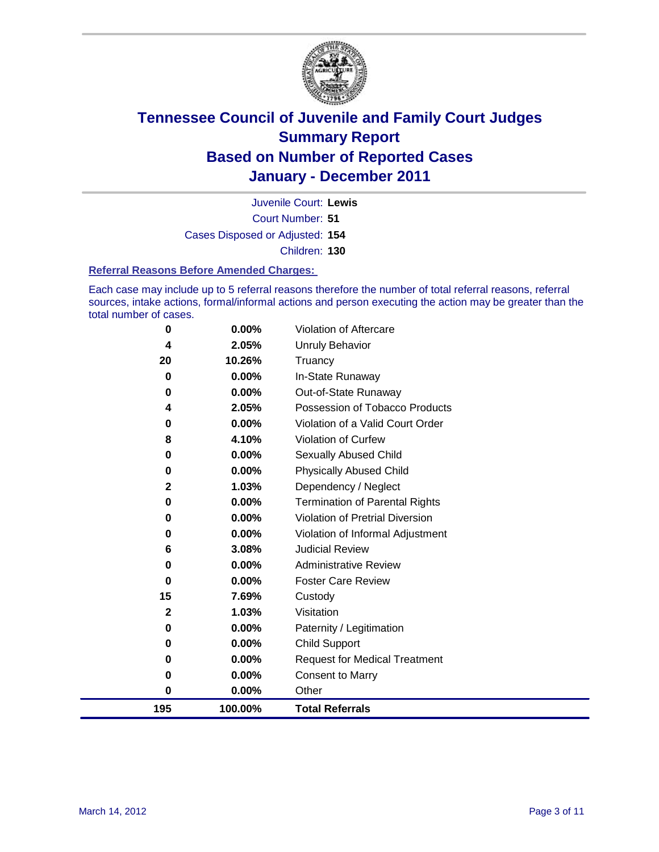

Court Number: **51** Juvenile Court: **Lewis** Cases Disposed or Adjusted: **154** Children: **130**

#### **Referral Reasons Before Amended Charges:**

Each case may include up to 5 referral reasons therefore the number of total referral reasons, referral sources, intake actions, formal/informal actions and person executing the action may be greater than the total number of cases.

| $\bf{0}$     | 0.00%    | Violation of Aftercare                 |
|--------------|----------|----------------------------------------|
| 4            | 2.05%    | Unruly Behavior                        |
| 20           | 10.26%   | Truancy                                |
| $\bf{0}$     | $0.00\%$ | In-State Runaway                       |
| 0            | 0.00%    | Out-of-State Runaway                   |
| 4            | 2.05%    | Possession of Tobacco Products         |
| 0            | 0.00%    | Violation of a Valid Court Order       |
| 8            | 4.10%    | <b>Violation of Curfew</b>             |
| 0            | 0.00%    | Sexually Abused Child                  |
| $\bf{0}$     | 0.00%    | <b>Physically Abused Child</b>         |
| $\mathbf{2}$ | 1.03%    | Dependency / Neglect                   |
| $\bf{0}$     | 0.00%    | <b>Termination of Parental Rights</b>  |
| 0            | $0.00\%$ | <b>Violation of Pretrial Diversion</b> |
| 0            | 0.00%    | Violation of Informal Adjustment       |
| 6            | 3.08%    | <b>Judicial Review</b>                 |
| 0            | $0.00\%$ | <b>Administrative Review</b>           |
| $\bf{0}$     | $0.00\%$ | <b>Foster Care Review</b>              |
| 15           | 7.69%    | Custody                                |
| $\mathbf{2}$ | 1.03%    | Visitation                             |
| 0            | 0.00%    | Paternity / Legitimation               |
| $\bf{0}$     | 0.00%    | <b>Child Support</b>                   |
| $\bf{0}$     | $0.00\%$ | <b>Request for Medical Treatment</b>   |
| 0            | 0.00%    | <b>Consent to Marry</b>                |
| $\bf{0}$     | 0.00%    | Other                                  |
| 195          | 100.00%  | <b>Total Referrals</b>                 |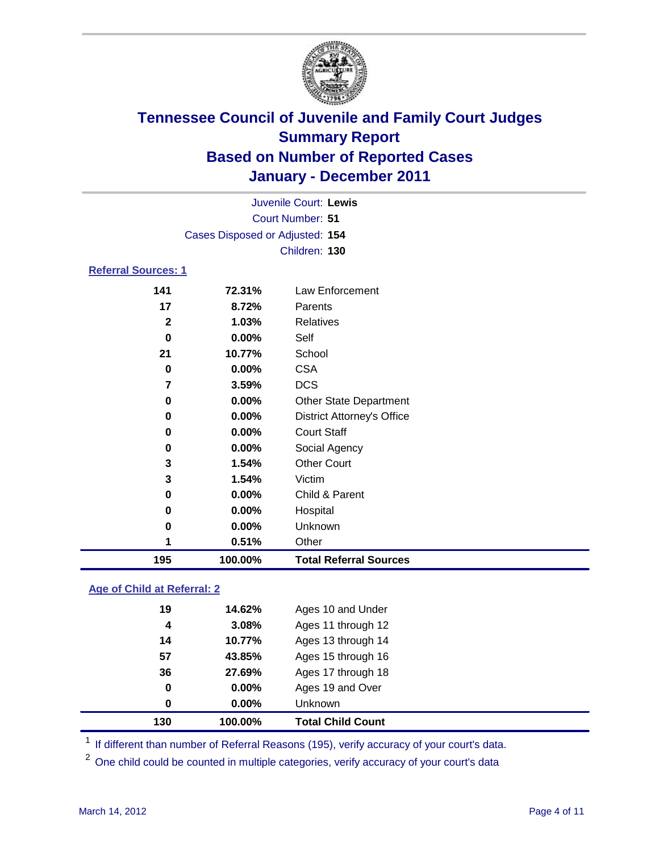

| 195                        | 100.00%                         | <b>Total Referral Sources</b>     |
|----------------------------|---------------------------------|-----------------------------------|
| 1                          | 0.51%                           | Other                             |
| 0                          | 0.00%                           | Unknown                           |
| 0                          | 0.00%                           | Hospital                          |
| 0                          | 0.00%                           | Child & Parent                    |
| 3                          | 1.54%                           | Victim                            |
| 3                          | 1.54%                           | <b>Other Court</b>                |
| 0                          | 0.00%                           | Social Agency                     |
| 0                          | 0.00%                           | <b>Court Staff</b>                |
| 0                          | $0.00\%$                        | <b>District Attorney's Office</b> |
| 0                          | 0.00%                           | <b>Other State Department</b>     |
| 7                          | 3.59%                           | <b>DCS</b>                        |
| 0                          | 0.00%                           | <b>CSA</b>                        |
| 21                         | 10.77%                          | School                            |
| 0                          | $0.00\%$                        | Self                              |
| $\mathbf{2}$               | 1.03%                           | <b>Relatives</b>                  |
| 17                         | 8.72%                           | Parents                           |
| 141                        | 72.31%                          | Law Enforcement                   |
| <b>Referral Sources: 1</b> |                                 |                                   |
|                            |                                 | Children: 130                     |
|                            | Cases Disposed or Adjusted: 154 |                                   |
|                            |                                 | Court Number: 51                  |
|                            |                                 | Juvenile Court: Lewis             |
|                            |                                 |                                   |

### **Age of Child at Referral: 2**

| 130      | 100.00% | <b>Total Child Count</b> |  |
|----------|---------|--------------------------|--|
| $\bf{0}$ | 0.00%   | <b>Unknown</b>           |  |
| 0        | 0.00%   | Ages 19 and Over         |  |
| 36       | 27.69%  | Ages 17 through 18       |  |
| 57       | 43.85%  | Ages 15 through 16       |  |
| 14       | 10.77%  | Ages 13 through 14       |  |
| 4        | 3.08%   | Ages 11 through 12       |  |
| 19       | 14.62%  | Ages 10 and Under        |  |
|          |         |                          |  |

<sup>1</sup> If different than number of Referral Reasons (195), verify accuracy of your court's data.

<sup>2</sup> One child could be counted in multiple categories, verify accuracy of your court's data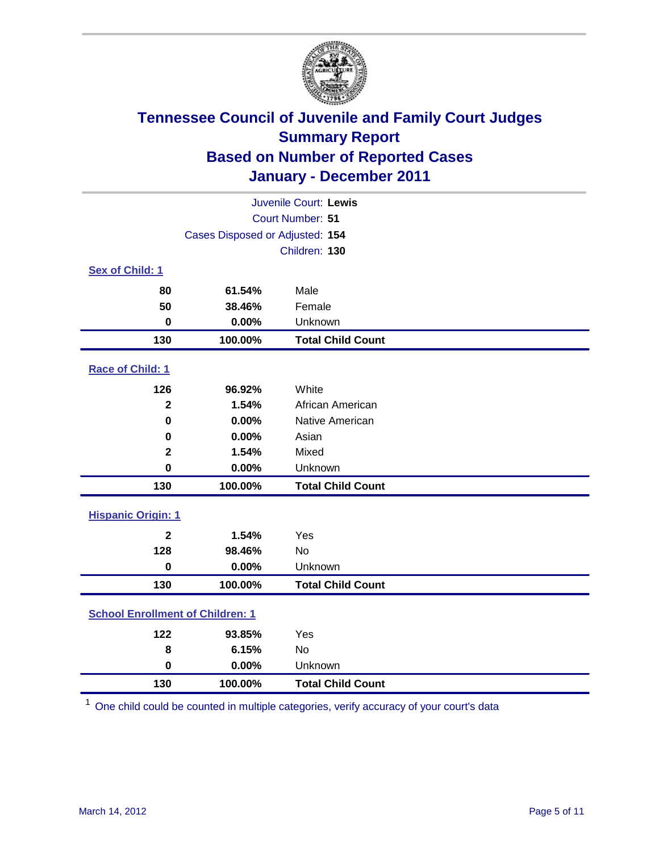

| Juvenile Court: Lewis                   |                                 |                          |  |  |
|-----------------------------------------|---------------------------------|--------------------------|--|--|
|                                         | Court Number: 51                |                          |  |  |
|                                         | Cases Disposed or Adjusted: 154 |                          |  |  |
|                                         |                                 | Children: 130            |  |  |
| Sex of Child: 1                         |                                 |                          |  |  |
| 80                                      | 61.54%                          | Male                     |  |  |
| 50                                      | 38.46%                          | Female                   |  |  |
| $\bf{0}$                                | 0.00%                           | Unknown                  |  |  |
| 130                                     | 100.00%                         | <b>Total Child Count</b> |  |  |
| Race of Child: 1                        |                                 |                          |  |  |
| 126                                     | 96.92%                          | White                    |  |  |
| $\overline{\mathbf{2}}$                 | 1.54%                           | African American         |  |  |
| $\mathbf 0$                             | 0.00%                           | Native American          |  |  |
| $\mathbf 0$                             | 0.00%                           | Asian                    |  |  |
| $\mathbf 2$                             | 1.54%                           | Mixed                    |  |  |
| $\mathbf 0$                             | 0.00%                           | Unknown                  |  |  |
| 130                                     | 100.00%                         | <b>Total Child Count</b> |  |  |
| <b>Hispanic Origin: 1</b>               |                                 |                          |  |  |
| $\mathbf{2}$                            | 1.54%                           | Yes                      |  |  |
| 128                                     | 98.46%                          | <b>No</b>                |  |  |
| $\mathbf 0$                             | 0.00%                           | Unknown                  |  |  |
| 130                                     | 100.00%                         | <b>Total Child Count</b> |  |  |
| <b>School Enrollment of Children: 1</b> |                                 |                          |  |  |
| 122                                     | 93.85%                          | Yes                      |  |  |
| 8                                       | 6.15%                           | No                       |  |  |
| $\mathbf 0$                             | 0.00%                           | Unknown                  |  |  |
| 130                                     | 100.00%                         | <b>Total Child Count</b> |  |  |

One child could be counted in multiple categories, verify accuracy of your court's data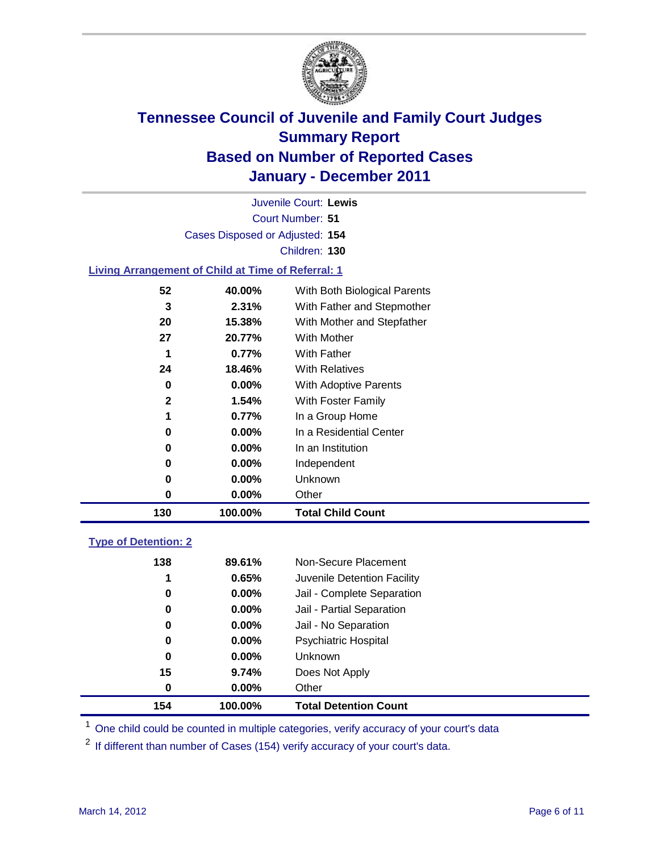

Court Number: **51** Juvenile Court: **Lewis** Cases Disposed or Adjusted: **154** Children: **130**

### **Living Arrangement of Child at Time of Referral: 1**

| 130          | 100.00%  | <b>Total Child Count</b>     |
|--------------|----------|------------------------------|
| 0            | $0.00\%$ | Other                        |
| 0            | $0.00\%$ | Unknown                      |
| 0            | $0.00\%$ | Independent                  |
| 0            | $0.00\%$ | In an Institution            |
| 0            | $0.00\%$ | In a Residential Center      |
| 1            | 0.77%    | In a Group Home              |
| $\mathbf{2}$ | 1.54%    | With Foster Family           |
| 0            | $0.00\%$ | <b>With Adoptive Parents</b> |
| 24           | 18.46%   | <b>With Relatives</b>        |
| 1            | 0.77%    | With Father                  |
| 27           | 20.77%   | <b>With Mother</b>           |
| 20           | 15.38%   | With Mother and Stepfather   |
| 3            | 2.31%    | With Father and Stepmother   |
| 52           | 40.00%   | With Both Biological Parents |
|              |          |                              |

### **Type of Detention: 2**

| 154 | 100.00%  | <b>Total Detention Count</b> |  |
|-----|----------|------------------------------|--|
| 0   | 0.00%    | Other                        |  |
| 15  | 9.74%    | Does Not Apply               |  |
| 0   | 0.00%    | <b>Unknown</b>               |  |
| 0   | $0.00\%$ | Psychiatric Hospital         |  |
| 0   | 0.00%    | Jail - No Separation         |  |
| 0   | $0.00\%$ | Jail - Partial Separation    |  |
| 0   | 0.00%    | Jail - Complete Separation   |  |
| 1   | 0.65%    | Juvenile Detention Facility  |  |
| 138 | 89.61%   | Non-Secure Placement         |  |
|     |          |                              |  |

<sup>1</sup> One child could be counted in multiple categories, verify accuracy of your court's data

<sup>2</sup> If different than number of Cases (154) verify accuracy of your court's data.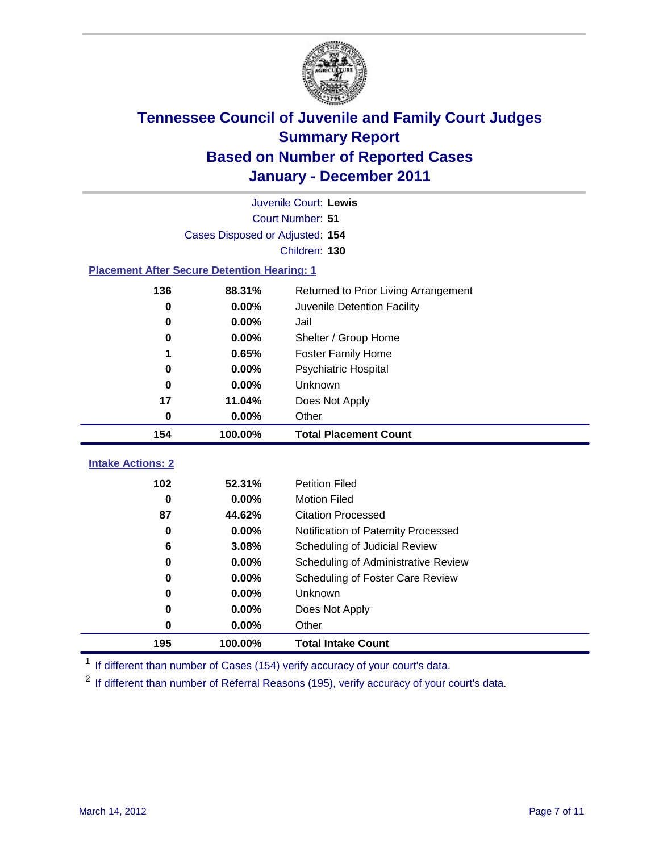

|                                                    | Juvenile Court: Lewis           |                                      |  |  |  |
|----------------------------------------------------|---------------------------------|--------------------------------------|--|--|--|
| Court Number: 51                                   |                                 |                                      |  |  |  |
|                                                    | Cases Disposed or Adjusted: 154 |                                      |  |  |  |
|                                                    |                                 | Children: 130                        |  |  |  |
| <b>Placement After Secure Detention Hearing: 1</b> |                                 |                                      |  |  |  |
| 136                                                | 88.31%                          | Returned to Prior Living Arrangement |  |  |  |
| 0                                                  | 0.00%                           | Juvenile Detention Facility          |  |  |  |
| 0                                                  | 0.00%                           | Jail                                 |  |  |  |
| 0                                                  | 0.00%                           | Shelter / Group Home                 |  |  |  |
| 1                                                  | 0.65%                           | <b>Foster Family Home</b>            |  |  |  |
| 0                                                  | 0.00%                           | Psychiatric Hospital                 |  |  |  |
| 0                                                  | 0.00%                           | Unknown                              |  |  |  |
| 17                                                 | 11.04%                          | Does Not Apply                       |  |  |  |
| 0                                                  | 0.00%                           | Other                                |  |  |  |
| 154                                                | 100.00%                         | <b>Total Placement Count</b>         |  |  |  |
| <b>Intake Actions: 2</b>                           |                                 |                                      |  |  |  |
| 102                                                | 52.31%                          | <b>Petition Filed</b>                |  |  |  |
| 0                                                  | 0.00%                           | <b>Motion Filed</b>                  |  |  |  |
| 87                                                 | 44.62%                          | <b>Citation Processed</b>            |  |  |  |
| $\bf{0}$                                           | 0.00%                           | Notification of Paternity Processed  |  |  |  |
| 6                                                  | 3.08%                           | Scheduling of Judicial Review        |  |  |  |
| 0                                                  | 0.00%                           | Scheduling of Administrative Review  |  |  |  |
| 0                                                  | 0.00%                           | Scheduling of Foster Care Review     |  |  |  |
| 0                                                  | 0.00%                           | Unknown                              |  |  |  |
| 0                                                  | 0.00%                           | Does Not Apply                       |  |  |  |
| 0                                                  | 0.00%                           | Other                                |  |  |  |
| 195                                                | 100.00%                         | <b>Total Intake Count</b>            |  |  |  |

<sup>1</sup> If different than number of Cases (154) verify accuracy of your court's data.

<sup>2</sup> If different than number of Referral Reasons (195), verify accuracy of your court's data.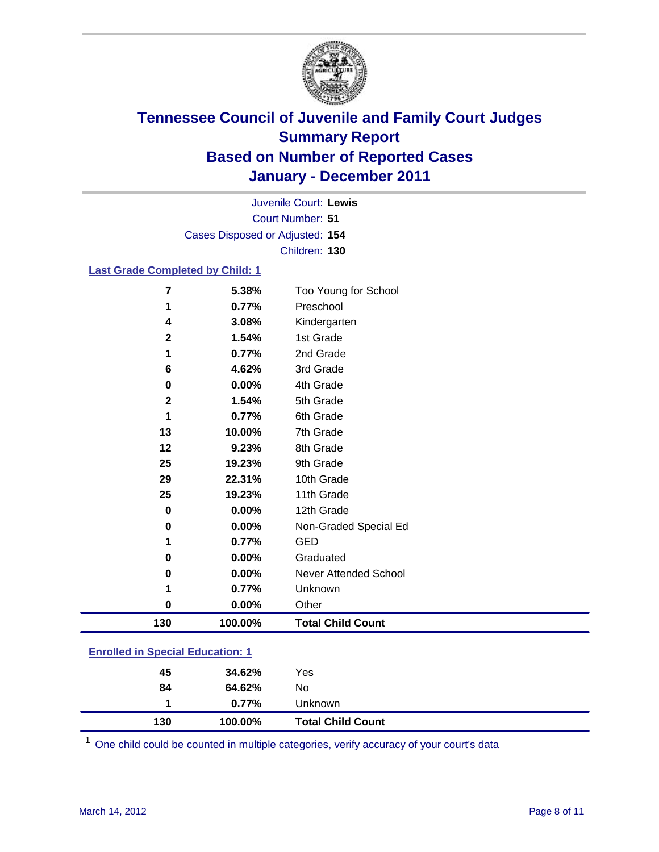

Court Number: **51** Juvenile Court: **Lewis** Cases Disposed or Adjusted: **154** Children: **130**

#### **Last Grade Completed by Child: 1**

| 130          | 100.00%        | <b>Total Child Count</b>  |
|--------------|----------------|---------------------------|
| 0            | 0.00%          | Other                     |
| 1            | 0.77%          | Unknown                   |
| 0            | 0.00%          | Never Attended School     |
| 0            | 0.00%          | Graduated                 |
| 1            | 0.77%          | <b>GED</b>                |
| 0            | 0.00%          | Non-Graded Special Ed     |
| $\mathbf 0$  | 0.00%          | 12th Grade                |
| 25           | 19.23%         | 11th Grade                |
| 29           | 22.31%         | 10th Grade                |
| 25           | 19.23%         | 9th Grade                 |
| 12           | 9.23%          | 8th Grade                 |
| 13           | 10.00%         | 7th Grade                 |
|              | 0.77%          | 6th Grade                 |
| $\mathbf{2}$ | 1.54%          | 5th Grade                 |
| 0            | 0.00%          | 4th Grade                 |
| 6            | 4.62%          | 3rd Grade                 |
| 1            | 0.77%          | 2nd Grade                 |
| $\mathbf{2}$ | 1.54%          | Kindergarten<br>1st Grade |
| 1<br>4       | 0.77%<br>3.08% | Preschool                 |
| 7            | 5.38%          | Too Young for School      |

### **Enrolled in Special Education: 1**

| 130 | 100.00%  | <b>Total Child Count</b> |  |
|-----|----------|--------------------------|--|
|     | $0.77\%$ | <b>Unknown</b>           |  |
| 84  | 64.62%   | No.                      |  |
| 45  | 34.62%   | Yes                      |  |
|     |          |                          |  |

One child could be counted in multiple categories, verify accuracy of your court's data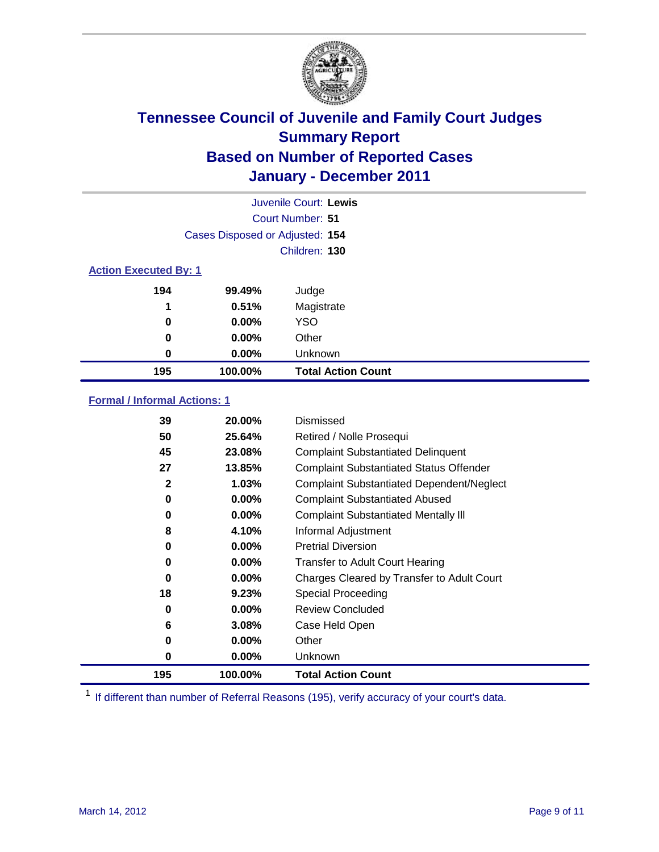

| Juvenile Court: Lewis        |                                 |                           |  |  |
|------------------------------|---------------------------------|---------------------------|--|--|
|                              | Court Number: 51                |                           |  |  |
|                              | Cases Disposed or Adjusted: 154 |                           |  |  |
|                              | Children: 130                   |                           |  |  |
| <b>Action Executed By: 1</b> |                                 |                           |  |  |
| 194                          | 99.49%                          | Judge                     |  |  |
| 1                            | 0.51%                           | Magistrate                |  |  |
| 0                            | 0.00%                           | <b>YSO</b>                |  |  |
| 0                            | 0.00%                           | Other                     |  |  |
| 0                            | 0.00%                           | Unknown                   |  |  |
| 195                          | 100.00%                         | <b>Total Action Count</b> |  |  |

### **Formal / Informal Actions: 1**

| 195          | 100.00%  | <b>Total Action Count</b>                        |
|--------------|----------|--------------------------------------------------|
| 0            | $0.00\%$ | Unknown                                          |
| 0            | $0.00\%$ | Other                                            |
| 6            | 3.08%    | Case Held Open                                   |
| 0            | $0.00\%$ | <b>Review Concluded</b>                          |
| 18           | 9.23%    | Special Proceeding                               |
| 0            | $0.00\%$ | Charges Cleared by Transfer to Adult Court       |
| 0            | $0.00\%$ | <b>Transfer to Adult Court Hearing</b>           |
| 0            | $0.00\%$ | <b>Pretrial Diversion</b>                        |
| 8            | 4.10%    | Informal Adjustment                              |
| 0            | $0.00\%$ | <b>Complaint Substantiated Mentally III</b>      |
| 0            | $0.00\%$ | <b>Complaint Substantiated Abused</b>            |
| $\mathbf{2}$ | 1.03%    | <b>Complaint Substantiated Dependent/Neglect</b> |
| 27           | 13.85%   | <b>Complaint Substantiated Status Offender</b>   |
| 45           | 23.08%   | <b>Complaint Substantiated Delinquent</b>        |
| 50           | 25.64%   | Retired / Nolle Prosequi                         |
| 39           | 20.00%   | Dismissed                                        |

<sup>1</sup> If different than number of Referral Reasons (195), verify accuracy of your court's data.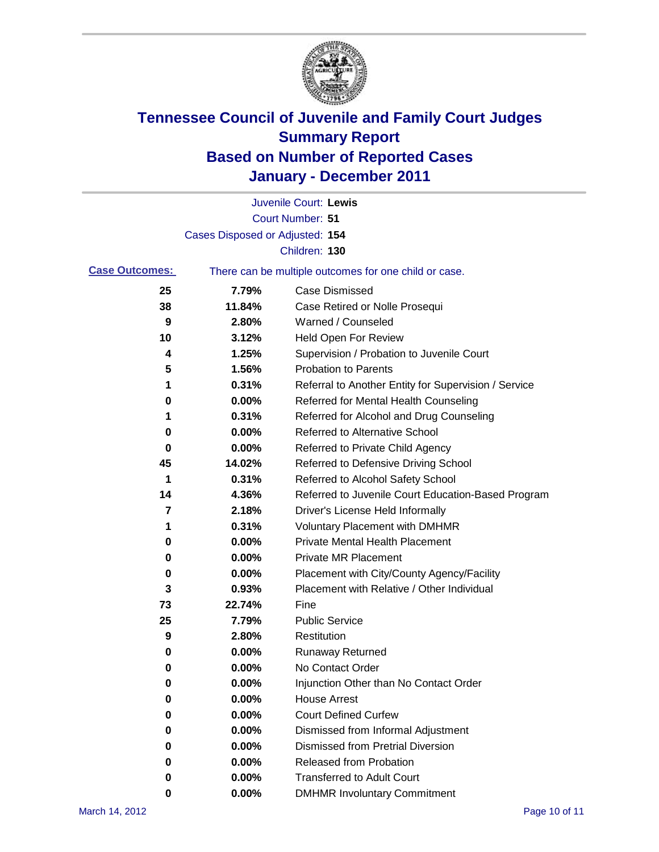

|                       |                                 | Juvenile Court: Lewis                                 |
|-----------------------|---------------------------------|-------------------------------------------------------|
|                       |                                 | Court Number: 51                                      |
|                       | Cases Disposed or Adjusted: 154 |                                                       |
|                       |                                 | Children: 130                                         |
| <b>Case Outcomes:</b> |                                 | There can be multiple outcomes for one child or case. |
| 25                    | 7.79%                           | <b>Case Dismissed</b>                                 |
| 38                    | 11.84%                          | Case Retired or Nolle Prosequi                        |
| 9                     | 2.80%                           | Warned / Counseled                                    |
| 10                    | 3.12%                           | Held Open For Review                                  |
| 4                     | 1.25%                           | Supervision / Probation to Juvenile Court             |
| 5                     | 1.56%                           | <b>Probation to Parents</b>                           |
| 1                     | 0.31%                           | Referral to Another Entity for Supervision / Service  |
| 0                     | 0.00%                           | Referred for Mental Health Counseling                 |
| 1                     | 0.31%                           | Referred for Alcohol and Drug Counseling              |
| 0                     | 0.00%                           | Referred to Alternative School                        |
| 0                     | 0.00%                           | Referred to Private Child Agency                      |
| 45                    | 14.02%                          | Referred to Defensive Driving School                  |
| 1                     | 0.31%                           | Referred to Alcohol Safety School                     |
| 14                    | 4.36%                           | Referred to Juvenile Court Education-Based Program    |
| 7                     | 2.18%                           | Driver's License Held Informally                      |
| 1                     | 0.31%                           | <b>Voluntary Placement with DMHMR</b>                 |
| 0                     | 0.00%                           | <b>Private Mental Health Placement</b>                |
| 0                     | 0.00%                           | <b>Private MR Placement</b>                           |
| 0                     | 0.00%                           | Placement with City/County Agency/Facility            |
| 3                     | 0.93%                           | Placement with Relative / Other Individual            |
| 73                    | 22.74%                          | Fine                                                  |
| 25                    | 7.79%                           | <b>Public Service</b>                                 |
| 9                     | 2.80%                           | Restitution                                           |
| 0                     | 0.00%                           | <b>Runaway Returned</b>                               |
| 0                     | 0.00%                           | No Contact Order                                      |
| 0                     | 0.00%                           | Injunction Other than No Contact Order                |
| 0                     | 0.00%                           | <b>House Arrest</b>                                   |
| 0                     | 0.00%                           | <b>Court Defined Curfew</b>                           |
| 0                     | 0.00%                           | Dismissed from Informal Adjustment                    |
| 0                     | 0.00%                           | <b>Dismissed from Pretrial Diversion</b>              |
| 0                     | 0.00%                           | <b>Released from Probation</b>                        |
| 0                     | 0.00%                           | <b>Transferred to Adult Court</b>                     |
| 0                     | $0.00\%$                        | <b>DMHMR Involuntary Commitment</b>                   |